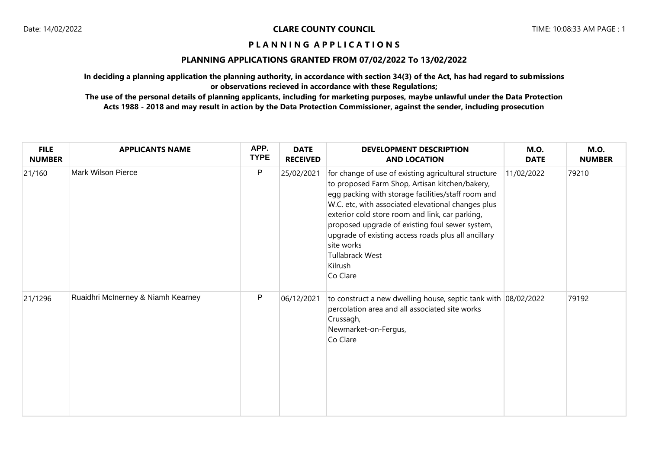# **PLANNING APPLICATIONS GRANTED FROM 07/02/2022 To 13/02/2022**

**In deciding a planning application the planning authority, in accordance with section 34(3) of the Act, has had regard to submissions or observations recieved in accordance with these Regulations;**

| <b>FILE</b><br><b>NUMBER</b> | <b>APPLICANTS NAME</b>             | APP.<br><b>TYPE</b> | <b>DATE</b><br><b>RECEIVED</b> | <b>DEVELOPMENT DESCRIPTION</b><br><b>AND LOCATION</b>                                                                                                                                                                                                                                                                                                                                                                                   | <b>M.O.</b><br><b>DATE</b> | <b>M.O.</b><br><b>NUMBER</b> |
|------------------------------|------------------------------------|---------------------|--------------------------------|-----------------------------------------------------------------------------------------------------------------------------------------------------------------------------------------------------------------------------------------------------------------------------------------------------------------------------------------------------------------------------------------------------------------------------------------|----------------------------|------------------------------|
| 21/160                       | <b>Mark Wilson Pierce</b>          | P                   | 25/02/2021                     | for change of use of existing agricultural structure<br>to proposed Farm Shop, Artisan kitchen/bakery,<br>egg packing with storage facilities/staff room and<br>W.C. etc, with associated elevational changes plus<br>exterior cold store room and link, car parking,<br>proposed upgrade of existing foul sewer system,<br>upgrade of existing access roads plus all ancillary<br>site works<br>Tullabrack West<br>Kilrush<br>Co Clare | 11/02/2022                 | 79210                        |
| 21/1296                      | Ruaidhri McInerney & Niamh Kearney | P                   | 06/12/2021                     | to construct a new dwelling house, septic tank with 08/02/2022<br>percolation area and all associated site works<br>Crussagh,<br>Newmarket-on-Fergus,<br>Co Clare                                                                                                                                                                                                                                                                       |                            | 79192                        |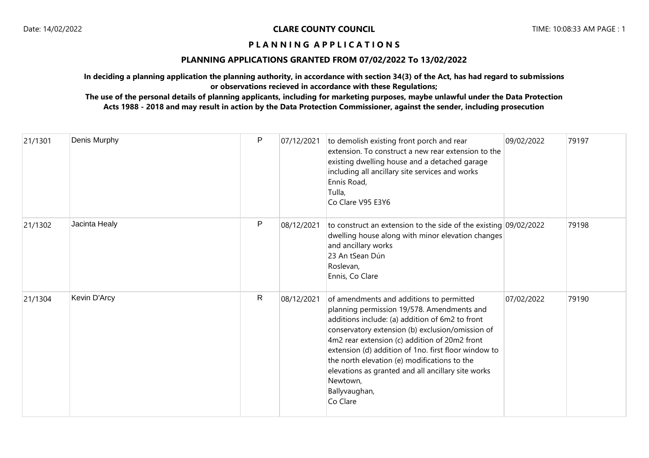# **PLANNING APPLICATIONS GRANTED FROM 07/02/2022 To 13/02/2022**

**In deciding a planning application the planning authority, in accordance with section 34(3) of the Act, has had regard to submissions or observations recieved in accordance with these Regulations;**

| 21/1301 | Denis Murphy  | P | 07/12/2021 | to demolish existing front porch and rear<br>extension. To construct a new rear extension to the<br>existing dwelling house and a detached garage<br>including all ancillary site services and works<br>Ennis Road,<br>Tulla,<br>Co Clare V95 E3Y6                                                                                                                                                                                                    | 09/02/2022 | 79197 |
|---------|---------------|---|------------|-------------------------------------------------------------------------------------------------------------------------------------------------------------------------------------------------------------------------------------------------------------------------------------------------------------------------------------------------------------------------------------------------------------------------------------------------------|------------|-------|
| 21/1302 | Jacinta Healy | P | 08/12/2021 | to construct an extension to the side of the existing 09/02/2022<br>dwelling house along with minor elevation changes<br>and ancillary works<br>23 An tSean Dún<br>Roslevan,<br>Ennis, Co Clare                                                                                                                                                                                                                                                       |            | 79198 |
| 21/1304 | Kevin D'Arcy  | R | 08/12/2021 | of amendments and additions to permitted<br>planning permission 19/578. Amendments and<br>additions include: (a) addition of 6m2 to front<br>conservatory extension (b) exclusion/omission of<br>4m2 rear extension (c) addition of 20m2 front<br>extension (d) addition of 1no. first floor window to<br>the north elevation (e) modifications to the<br>elevations as granted and all ancillary site works<br>Newtown,<br>Ballyvaughan,<br>Co Clare | 07/02/2022 | 79190 |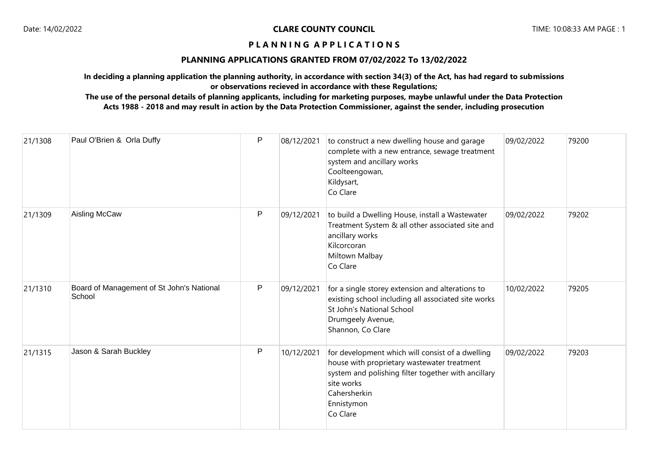# **PLANNING APPLICATIONS GRANTED FROM 07/02/2022 To 13/02/2022**

**In deciding a planning application the planning authority, in accordance with section 34(3) of the Act, has had regard to submissions or observations recieved in accordance with these Regulations;**

| 21/1308 | Paul O'Brien & Orla Duffy                           | P | 08/12/2021 | to construct a new dwelling house and garage<br>complete with a new entrance, sewage treatment<br>system and ancillary works<br>Coolteengowan,<br>Kildysart,<br>Co Clare                                       | 09/02/2022 | 79200 |
|---------|-----------------------------------------------------|---|------------|----------------------------------------------------------------------------------------------------------------------------------------------------------------------------------------------------------------|------------|-------|
| 21/1309 | Aisling McCaw                                       | P | 09/12/2021 | to build a Dwelling House, install a Wastewater<br>Treatment System & all other associated site and<br>ancillary works<br>Kilcorcoran<br>Miltown Malbay<br>Co Clare                                            | 09/02/2022 | 79202 |
| 21/1310 | Board of Management of St John's National<br>School | P | 09/12/2021 | for a single storey extension and alterations to<br>existing school including all associated site works<br>St John's National School<br>Drumgeely Avenue,<br>Shannon, Co Clare                                 | 10/02/2022 | 79205 |
| 21/1315 | Jason & Sarah Buckley                               | P | 10/12/2021 | for development which will consist of a dwelling<br>house with proprietary wastewater treatment<br>system and polishing filter together with ancillary<br>site works<br>Cahersherkin<br>Ennistymon<br>Co Clare | 09/02/2022 | 79203 |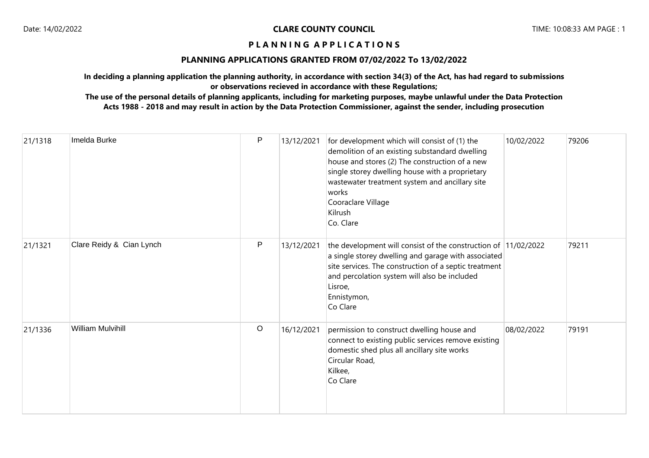# **PLANNING APPLICATIONS GRANTED FROM 07/02/2022 To 13/02/2022**

**In deciding a planning application the planning authority, in accordance with section 34(3) of the Act, has had regard to submissions or observations recieved in accordance with these Regulations;**

| 21/1318 | Imelda Burke             | P           | 13/12/2021 | for development which will consist of (1) the<br>demolition of an existing substandard dwelling<br>house and stores (2) The construction of a new<br>single storey dwelling house with a proprietary<br>wastewater treatment system and ancillary site<br>works<br>Cooraclare Village<br>Kilrush<br>Co. Clare | 10/02/2022 | 79206 |
|---------|--------------------------|-------------|------------|---------------------------------------------------------------------------------------------------------------------------------------------------------------------------------------------------------------------------------------------------------------------------------------------------------------|------------|-------|
| 21/1321 | Clare Reidy & Cian Lynch | P           | 13/12/2021 | the development will consist of the construction of 11/02/2022<br>a single storey dwelling and garage with associated<br>site services. The construction of a septic treatment<br>and percolation system will also be included<br>Lisroe,<br>Ennistymon,<br>Co Clare                                          |            | 79211 |
| 21/1336 | <b>William Mulvihill</b> | $\mathsf O$ | 16/12/2021 | permission to construct dwelling house and<br>connect to existing public services remove existing<br>domestic shed plus all ancillary site works<br>Circular Road,<br>Kilkee,<br>Co Clare                                                                                                                     | 08/02/2022 | 79191 |